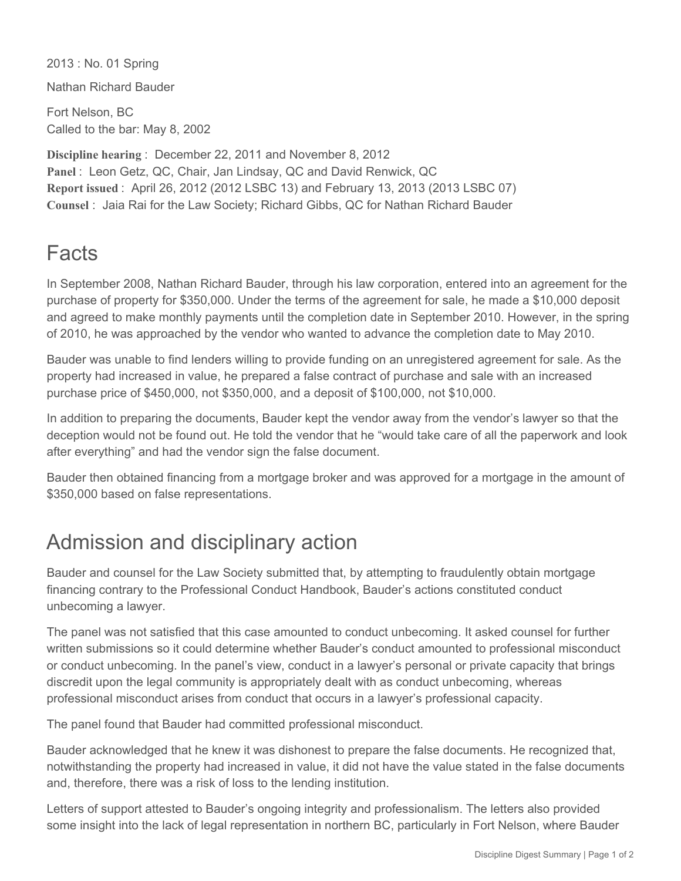2013 : No. 01 Spring

Nathan Richard Bauder

Fort Nelson, BC Called to the bar: May 8, 2002

**Discipline hearing** : December 22, 2011 and November 8, 2012 **Panel** : Leon Getz, QC, Chair, Jan Lindsay, QC and David Renwick, QC **Report issued** : April 26, 2012 (2012 LSBC 13) and February 13, 2013 (2013 LSBC 07) **Counsel** : Jaia Rai for the Law Society; Richard Gibbs, QC for Nathan Richard Bauder

## Facts

In September 2008, Nathan Richard Bauder, through his law corporation, entered into an agreement for the purchase of property for \$350,000. Under the terms of the agreement for sale, he made a \$10,000 deposit and agreed to make monthly payments until the completion date in September 2010. However, in the spring of 2010, he was approached by the vendor who wanted to advance the completion date to May 2010.

Bauder was unable to find lenders willing to provide funding on an unregistered agreement for sale. As the property had increased in value, he prepared a false contract of purchase and sale with an increased purchase price of \$450,000, not \$350,000, and a deposit of \$100,000, not \$10,000.

In addition to preparing the documents, Bauder kept the vendor away from the vendor's lawyer so that the deception would not be found out. He told the vendor that he "would take care of all the paperwork and look after everything" and had the vendor sign the false document.

Bauder then obtained financing from a mortgage broker and was approved for a mortgage in the amount of \$350,000 based on false representations.

## Admission and disciplinary action

Bauder and counsel for the Law Society submitted that, by attempting to fraudulently obtain mortgage financing contrary to the Professional Conduct Handbook, Bauder's actions constituted conduct unbecoming a lawyer.

The panel was not satisfied that this case amounted to conduct unbecoming. It asked counsel for further written submissions so it could determine whether Bauder's conduct amounted to professional misconduct or conduct unbecoming. In the panel's view, conduct in a lawyer's personal or private capacity that brings discredit upon the legal community is appropriately dealt with as conduct unbecoming, whereas professional misconduct arises from conduct that occurs in a lawyer's professional capacity.

The panel found that Bauder had committed professional misconduct.

Bauder acknowledged that he knew it was dishonest to prepare the false documents. He recognized that, notwithstanding the property had increased in value, it did not have the value stated in the false documents and, therefore, there was a risk of loss to the lending institution.

Letters of support attested to Bauder's ongoing integrity and professionalism. The letters also provided some insight into the lack of legal representation in northern BC, particularly in Fort Nelson, where Bauder